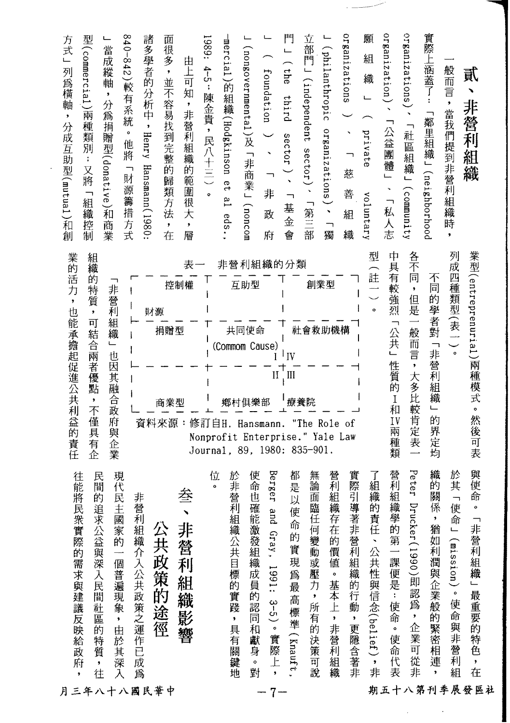**-"-----------------**

r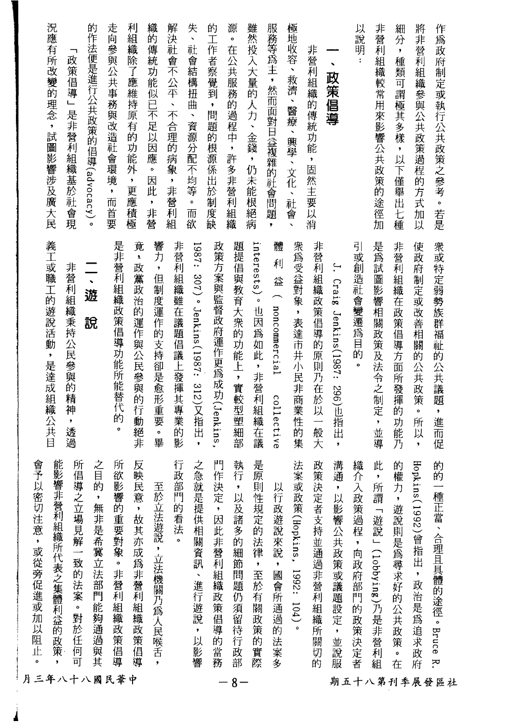| 況應有所改變的理念,試圖影響涉及廣大民<br>政策倡導」<br>是非營利組織基於社會現                                            | 的作法便是進行公共政策的倡導(advocacy)。<br>走向參與公共事務與改造社會環境,而首要 | 利組織除了應維持原有的功能外<br>織的傳統功能似已不足以因應。<br>因此<br>,更應積極<br>,非營            | 失、社會結構扭曲<br>解決社會不公平、不合理的病象,非營利組<br>、資源分配不均等。<br>而欲           | 的工作者察覺到<br>源。在公共服務的過程中,許多非營利組織<br>$\bullet$<br>問題的根源係出於制度缺              | 雖然投入大量的人力、金錢,仍未能根絕病<br>服務等為主,然而面對日益複雜的社會問題<br>$\pmb{\ast}$                             | 極地收容、救濟、醫療、興學、文化、社會<br>非營利組織的傳統功能,固然主要以消<br>$\overline{\phantom{a}}$ | 以說<br>明<br>$\blacksquare$<br>政策倡導                                | 非營利組織較常用來影響公共政策的途徑加<br>細分<br>$\bullet$<br>種類<br>可謂極其多樣,以下僅舉出七種     | 將非營利組織參與公共政策過程的方式加以<br>作為政府制定或執行公共政策之參考。若是                                      |
|----------------------------------------------------------------------------------------|--------------------------------------------------|-------------------------------------------------------------------|--------------------------------------------------------------|-------------------------------------------------------------------------|----------------------------------------------------------------------------------------|----------------------------------------------------------------------|------------------------------------------------------------------|--------------------------------------------------------------------|---------------------------------------------------------------------------------|
| 義工或職工的遊說活動,是達成組織公共目<br>非營利組織秉持公民參與的精神<br>$\bar{\star}$<br>透過                           | 是非營利組織政策倡導功能所能替代的<br>遊<br>說<br>$\circ$           | 竟,政黨政治的運作與公民參與的行動絕非<br>響力,但制度運作的支持卻是愈形重要<br>$\ddot{\bullet}$<br>畢 | 非營利組織雖在議題倡議上發揮其專業的<br>1987: 307)。Jenkins(1987: 312)又指出,<br>影 | 題提倡與教育大衆的功能上,實較型塑細部<br>政策方案與監督政府運作更爲成功(Jenkins,                         | interests) $^{\circ}$<br>體<br>利<br>益<br>( noncommercial<br>也因為如此,非營利組織在議<br>collective | 衆為受益對象,表達市井小民非商業性的集<br>非營利組織政策倡導的原則乃在於以一般大                           | 引或創造社會變遷爲目的<br>$\ddot{\cdot}$<br>Craig<br>Jenkins(1987: 296)也指出, | 是爲試圖影響相關政策及法令之制定<br>非營利組織在政策倡導方面所發揮的功能乃<br>,並導                     | 衆或特定弱勢族群福祉的公共議題<br>使政府制定或改善相關的公共政策<br>$\bullet$<br>,進而促<br>所以<br>$\bullet$      |
| 能影響非營利組織所代表之集體利益的政策<br>所倡導之立場見解一致的法案。對於任何<br>會子<br>以密切注意,或從旁促進或加以阻止<br>可<br>月三年八十八國民華中 | 之目的,無非是希冀立法部門能夠通過與其<br>所欲影響的重要對象。非營利組織政策倡<br>導   | 反映民意,故其亦成為非營利組織政策倡導<br>至於立法遊說,立法機關乃為人民喉舌                          | 行<br>之急就是提供相關資訊、進行遊說,以影響<br>政部門的看法                           | 門作決定,因此非營利組織政策倡導的當務<br>執行<br>$\pmb{\cdot}$<br>以及諸多的細節問題仍須留待行政部<br>$8 -$ | 是原則性規定的法律,至於有關政策的實際<br>以行政遊說來說<br>,國會所通過的法案多                                           | 法案或政策(Hopkins,<br>政策決定者支持並通過非營利組織所關切的<br>1992:<br>104)               | 溝通<br>織<br>介入政策過程<br>,以影響公共政策或議題設定,並說服<br>,向政府部門的政策決定者           | 此<br>的<br>權力,遊說則是為尋求好的公共政策<br>所謂<br>「遊說」(1obbying)乃是非營利組<br>。<br>在 | Hopkins(1992)曾指出<br>的的一<br>種正當、合理且具體的途徑。Bruce<br>,政治是為追求政府<br>Ŕ.<br>期五十八第刊季展發區社 |

4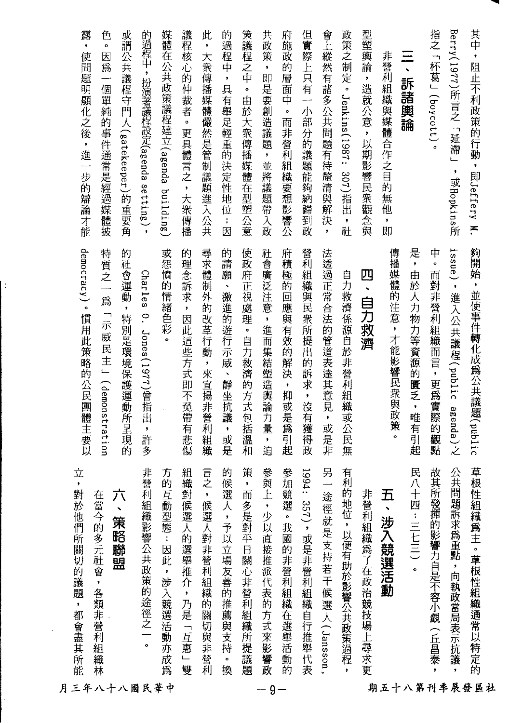|             | 立<br>對於他們所關切的議題,都會盡其所能      | democracy)。慣用此策略的公民團體主要以      | 露,使問題明顯化之後,進一步的辯論才能              |
|-------------|-----------------------------|-------------------------------|----------------------------------|
|             | 在當今的多元社會,各類非營利組織林           | 特質之一為「示威民主」(demonstration     | 色。因爲一個單純的事件通常是經過媒體披              |
| 月三年八十八國民華中  | 六<br>策略聯盟                   | 的社會運動,特別是環境保護運動所呈現的           | 或謂公共議程守門人(gatekeeper)的重要角        |
|             | 非營利組織影響公共政策的途徑之一。           | Charles O. Jones(1977)曾指出,許多  | 的過程中,扮演著議程設定(agenda setting),    |
|             | 方的互動型態:因此,涉入競選活動亦成為         | 或怨憤的情緒色彩。                     | 媒體在公共政策議程建立(agenda building)     |
|             | 組織對候選人的選舉推介,乃是「互惠」雙         | 的理念訴求,因此這些方式即不免帶有悲傷           | 議程核心的仲裁者。更具體言之,大衆傳播              |
|             | 言之,候選人對非營利組織的關切與非營利         | 尋求體制外的改革行動,來宣揚非營利組織           | 此,大衆傳播媒體儼然是管制議題進入公共              |
|             | 的候選人,予以立場友善的推薦與支持<br>。<br>換 | 的請願、激進的遊行示威、靜坐抗議,或是           | 的過程中,具有舉足輕重的決定性地位;因              |
|             | 策<br>,<br>而多是對平日關心非營利組織所提議題 | 使政府正視處理。自力救濟的方式包括溫和           | 策議程之中。由於大衆傳播媒體在型塑公意              |
| $-9-$       | 參與上,少以直接推派代表的方式來影響政         | 社會廣泛注意,進而集結塑造輿論力量,迫           | 共政策,即是要創造議題,並將議題帶入政              |
|             | 參加競選。我國的非營利組織在選舉活動的         | 府積極的回應與有效的解決,抑或是為引起           | 府施政的層面中。而非營利組織要想影響公              |
|             | 1994: 357), 或是非營利組織自行推舉代表   | 營利組織與民衆所提出的訴求,沒有獲得政           | 但實際上只有一小部分的議題能夠納歸到政              |
|             | 另<br>途徑就是支持若干候選人(Jansson,   | 法透過正常合法的管道表達其意見,或是非           | 會上縱然有諸多公共問題有待釐清與解決,              |
|             | 有利的地位,以便有助於影響公共政策過程         | 自力救濟係源自於非營利組織或公民無             | 政策之制定。Jenkins(1987: 307)指出,社     |
|             | 非營利組織爲了在政治競技場上尋求更           | 四、自力救濟                        | 型塑輿論,造就公意,以期影響民衆觀念與              |
| 期五十八第刊季展發區社 | 五、涉入競選活動                    | 傳播媒體的注意,才能影響民衆與政策。            | 非營利組織與媒體合作之目的無他,即                |
|             | 民八十四:三七三)。                  | 是,由於人力物力等資源的匱乏,唯有引起           | 三、訴諸輿論                           |
|             | 故其所發揮的影響力自是不容小覷(丘昌泰,        | 中。而對非營利組織而言,更爲實際的觀點           | 指之「杯葛」(boycott)。                 |
|             | 公共問題訴求為重點,向執政當局表示抗議         | issue),進入公共議程(public agenda)之 | Berry(1977)所言之「延滯」<br>,或Hopkins所 |
|             | 草根性組織為主。草根性組織通常以特定的         | 夠開始,並使事件轉化成為公共議題(public       | 其中,阻止不利政策的行動,即Jeffery M.         |
|             |                             |                               |                                  |

 $\mathbf{E}$ 

 $\bar{\phantom{a}}$ 

 $\hat{\boldsymbol{\gamma}}$ 

r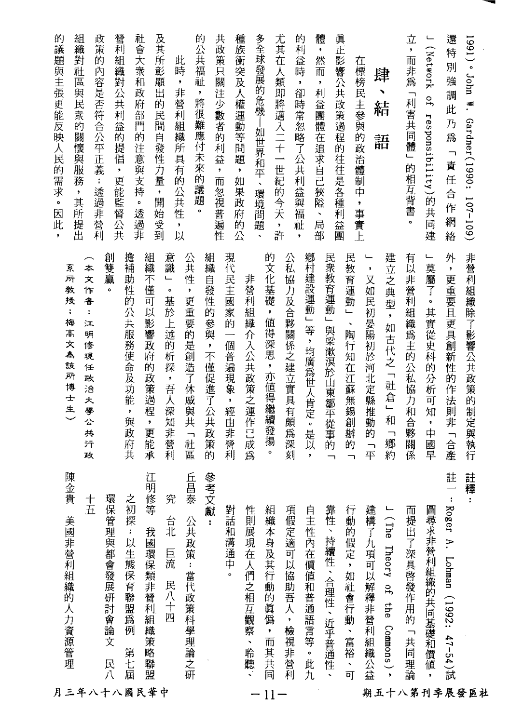| 組織對<br>的<br>議題與主張更能反映人民的需求。因此<br>的<br>社區<br>與民衆的關懷與服務<br>透過非營利<br>$\pmb{\cdot}$<br>其所提出<br>٠                                                                                         | 營利組織對公共利益的提倡<br>政策<br>內容是否符合公平正義<br>, 更能監督公共<br>$\ddot{\ast}$       | 及其所彰<br>社<br>會大衆和<br>顯<br>田<br>政<br>府部門的注意與支持<br>的民間自發性力量<br>$\pmb{\cdot}$<br>開<br>$\bullet$<br>透過非<br>始受到 | 的<br>共<br>政策只關注少數者的利益<br>公共福祉<br>此<br>時<br>ł<br>非營利組織所具有的公共性<br>,將很難應付未來的議題<br>$\bullet$<br>而<br>忽視普遍性<br>۰<br>,<br>以 | 種族衝突及人權運動等問題<br>$\overline{\phantom{a}}$<br>如果政府的<br>公 | 多全球發展的危機—如世界和平、<br>環境問題<br>$\overline{\phantom{a}}$                 | 尤其在人類即將邁入二十一世紀的今天,<br>祉<br>許<br>$\bullet$ | 體<br>的<br>利<br>一,然而<br>益<br>時<br>$\pmb{\ast}$<br>$\pmb{\cdot}$<br>利益團體在追求自己狹隘<br>卻時常忽略了公共利益與福<br>、<br>局<br>部 | 真正影響公共政策過程的往往是各種利益團                               | 在標榜民主參與的政<br>(治體)<br>制<br>中<br>$\pmb{\cdot}$<br>事實上                   | 肆<br>╲<br>結<br>語                  | 立<br>,而非爲<br>「利害共同體」<br>的相互背書<br>$\ddot{\phantom{0}}$ | سسا<br>(Network<br>Ъ,<br>Fesponsiprility)<br>E<br>共<br>同<br>建<br>ـــــــــا                    | 還特<br>別<br>強<br>調<br>此<br>乃爲<br>$\overline{\phantom{a}}$<br>責任<br>合作<br>網<br>絡<br>外 | $1991)$ $\degree$ John W.<br>Gardner(1990: 107-109) |
|--------------------------------------------------------------------------------------------------------------------------------------------------------------------------------------|---------------------------------------------------------------------|------------------------------------------------------------------------------------------------------------|-----------------------------------------------------------------------------------------------------------------------|--------------------------------------------------------|---------------------------------------------------------------------|-------------------------------------------|--------------------------------------------------------------------------------------------------------------|---------------------------------------------------|-----------------------------------------------------------------------|-----------------------------------|-------------------------------------------------------|------------------------------------------------------------------------------------------------|-------------------------------------------------------------------------------------|-----------------------------------------------------|
| 本<br>系<br>所<br>文<br>敎<br>作<br>授<br>音<br>$\ddot{\ddot{\bullet}}$<br>ţ.<br>梅<br>江<br>高<br>明<br>文<br>修<br>Д,<br>現<br>該<br>任<br>所<br>政<br>博<br>洽<br>$\pm$<br>大<br>生<br>學公<br>共<br>元<br>政 | 擔補<br>創雙贏<br>助性的<br>$\pmb{\circ}$<br>公共服務使命及功能<br>$\bullet$<br>與政府共 | 組織不僅<br>意識<br>L<br>$\bullet$<br>基於上述的析探<br>可<br>以影響政府的政策過程<br>,吾人深知非營利<br>,<br>更能<br>承                     | 公共性<br>組織<br>自發性的參與,不僅促進了公共政策<br>$\pmb{\cdot}$<br>更重要的是創造了休戚與共「社<br>區<br>的                                            | 現代民主國家的<br>個普遍現象<br>$\pmb{\cdot}$<br>經由<br>非營利         | 的文化基礎<br>非營利組織<br>$\mathbf{r}$<br>值得深思,亦值得繼續發揚<br>介入公共政策之運作己成爲<br>o | 公私協力及合夥關係之建立實具有頗<br>爲深刻                   | 鄕村建設運動」等,均廣爲世人肯定。是以<br>民衆教育運動」<br>與梁漱溟於山東鄒平從事的<br>$\pmb{\ast}$                                               | 民教育運動」<br>$\ddot{\phantom{1}}$<br>陶行知在江蘇無錫創辦的     | $\pmb{\cdot}$<br>又如民初晏陽初於河北定縣推動<br>的<br>$\overline{\phantom{0}}$<br>平 | 建立之典型,如古代之「社倉」和<br>「郷約            | 有以非營利組織爲主的公私協力和合夥關<br>係                               | 莫屬<br>$\overline{f}$<br>$\ddot{\phantom{0}}$<br>其實從史科的分析<br>可<br>知<br>$\pmb{\cdot}$<br>中<br>國早 | $\bullet$<br>更重要且更具創新性的作法則非<br>:「合產                                                 | 非營利組織除了影響公共政策的制定與執行                                 |
| 陳金<br>貴<br>$\frac{+}{\hbar}$<br>美國非營利組織的人力資源管理<br>月三年八十八國民華中                                                                                                                         | 之初探<br>環保管理與都會發展研討會論文<br>: 以生態保育聯盟為例<br>第七屆<br>民八                   | 江<br>明修等<br>究<br>台北<br>我國環保類非營利組織策略聯盟<br>巨流<br>民八十四                                                        | 參考文獻:<br>丘<br>昌泰<br>公共政策:當代政策科學理論之研                                                                                   | 對話和溝通中                                                 | 組織本身及其行動的眞僞<br>性則展現在人們之相互觀察、聆聽、<br>$\, ,$<br>而其共同                   | 項假定適可以協助吾人<br>,檢視非營利<br>$11-$             | 靠性、持續性、合理性、近乎普通性<br>自主性內在價值和普通語言等。此九                                                                         | 行動的假定,<br>如社會行動<br>一、富裕<br>$\frac{1}{\mathbf{p}}$ | 建構了九項可以解釋非營利組織公益                                                      | J (The Theory of<br>the Commons). | 而提出了深具啓發作用的<br>「共同理論                                  | 圖尋求非營利組織的共同基礎和價值                                                                               | 註<br>÷<br>Roger A.<br>Lohan (1992: 47-54)斌                                          | 註釋<br>t<br>期五十八第刊季展發區社                              |